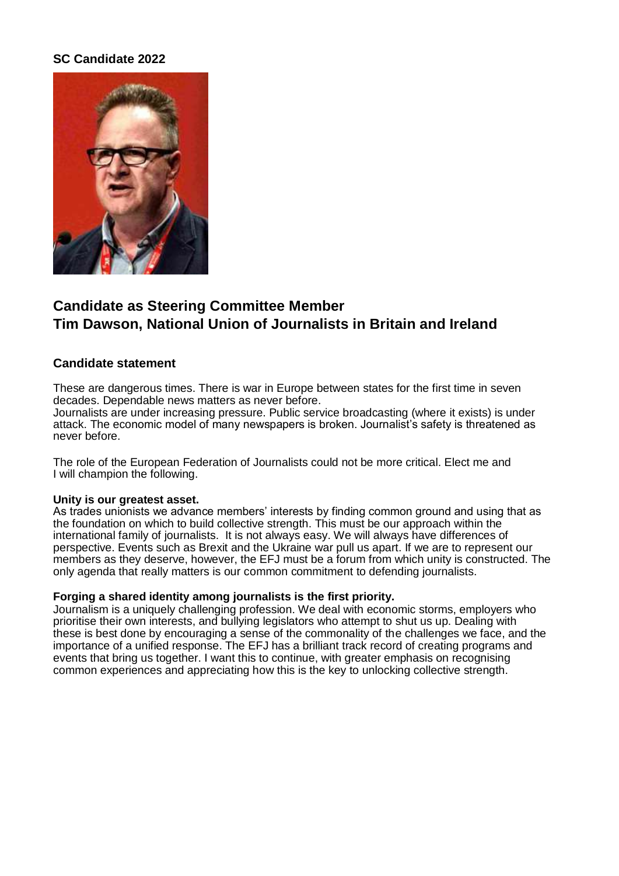## **SC Candidate 2022**



# **Candidate as Steering Committee Member Tim Dawson, National Union of Journalists in Britain and Ireland**

### **Candidate statement**

These are dangerous times. There is war in Europe between states for the first time in seven decades. Dependable news matters as never before.

Journalists are under increasing pressure. Public service broadcasting (where it exists) is under attack. The economic model of many newspapers is broken. Journalist's safety is threatened as never before.

The role of the European Federation of Journalists could not be more critical. Elect me and I will champion the following.

#### **Unity is our greatest asset.**

As trades unionists we advance members' interests by finding common ground and using that as the foundation on which to build collective strength. This must be our approach within the international family of journalists. It is not always easy. We will always have differences of perspective. Events such as Brexit and the Ukraine war pull us apart. If we are to represent our members as they deserve, however, the EFJ must be a forum from which unity is constructed. The only agenda that really matters is our common commitment to defending journalists.

#### **Forging a shared identity among journalists is the first priority.**

Journalism is a uniquely challenging profession. We deal with economic storms, employers who prioritise their own interests, and bullying legislators who attempt to shut us up. Dealing with these is best done by encouraging a sense of the commonality of the challenges we face, and the importance of a unified response. The EFJ has a brilliant track record of creating programs and events that bring us together. I want this to continue, with greater emphasis on recognising common experiences and appreciating how this is the key to unlocking collective strength.